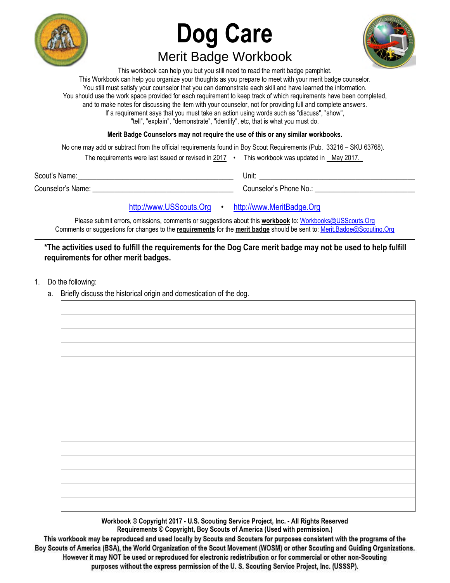

# **Dog Care**  Merit Badge Workbook



This workbook can help you but you still need to read the merit badge pamphlet. This Workbook can help you organize your thoughts as you prepare to meet with your merit badge counselor. You still must satisfy your counselor that you can demonstrate each skill and have learned the information. You should use the work space provided for each requirement to keep track of which requirements have been completed, and to make notes for discussing the item with your counselor, not for providing full and complete answers. If a requirement says that you must take an action using words such as "discuss", "show", "tell", "explain", "demonstrate", "identify", etc, that is what you must do.

**Merit Badge Counselors may not require the use of this or any similar workbooks.**

No one may add or subtract from the official requirements found in Boy Scout Requirements (Pub. 33216 – SKU 63768). The requirements were last issued or revised in 2017 • This workbook was updated in May 2017. Scout's Name: \_\_\_\_\_\_\_\_\_\_\_\_\_\_\_\_\_\_\_\_\_\_\_\_\_\_\_\_\_\_\_\_\_\_\_\_\_\_\_\_\_\_ Unit: \_\_\_\_\_\_\_\_\_\_\_\_\_\_\_\_\_\_\_\_\_\_\_\_\_\_\_\_\_\_\_\_\_\_\_\_\_\_\_\_\_\_ Counselor's Name: \_\_\_\_\_\_\_\_\_\_\_\_\_\_\_\_\_\_\_\_\_\_\_\_\_\_\_\_\_\_\_\_\_\_\_\_\_\_ Counselor's Phone No.: \_\_\_\_\_\_\_\_\_\_\_\_\_\_\_\_\_\_\_\_\_\_\_\_\_\_\_

[http://www.USScouts.Org](http://www.usscouts.org/) • [http://www.MeritBadge.Org](http://www.meritbadge.org/)

Please submit errors, omissions, comments or suggestions about this **workbook** to: [Workbooks@USScouts.Org](mailto:Workbooks@usscouts.org?subject=Merit%20Badge%20Workbooks) Comments or suggestions for changes to the **requirements** for the **merit badge** should be sent to: [Merit.Badge@Scouting.Org](mailto:merit.badge@scouting.org) *\_\_\_\_\_\_\_\_\_\_\_\_\_\_\_\_\_\_\_\_\_\_\_\_\_\_\_\_\_\_\_\_\_\_\_\_\_\_\_\_\_\_\_\_\_\_\_\_\_\_\_\_\_\_\_\_\_\_\_\_\_\_\_\_\_\_\_\_\_\_\_\_\_\_\_\_\_\_\_\_\_\_\_\_\_\_\_\_\_\_\_\_\_\_\_\_\_\_\_\_\_\_\_\_\_\_\_\_\_\_\_\_\_\_\_\_\_\_\_\_\_\_\_\_\_\_\_\_\_\_\_\_\_\_\_\_\_\_\_\_\_\_* 

**\*The activities used to fulfill the requirements for the Dog Care merit badge may not be used to help fulfill requirements for other merit badges.** 

- 1. Do the following:
	- a. Briefly discuss the historical origin and domestication of the dog.

**Workbook © Copyright 2017 - U.S. Scouting Service Project, Inc. - All Rights Reserved**

**Requirements © Copyright, Boy Scouts of America (Used with permission.)**

This workbook may be reproduced and used locally by Scouts and Scouters for purposes consistent with the programs of the **the Boy Scouts of America (BSA), the World Organization of the Scout Movement (WOSM) or other Scouting and Guiding Organizations. However it may NOT be used or reproduced for electronic redistribution or for commercial or other non-Scouting purposes without the express permission of the U. S. Scouting Service Project, Inc. (USSSP).**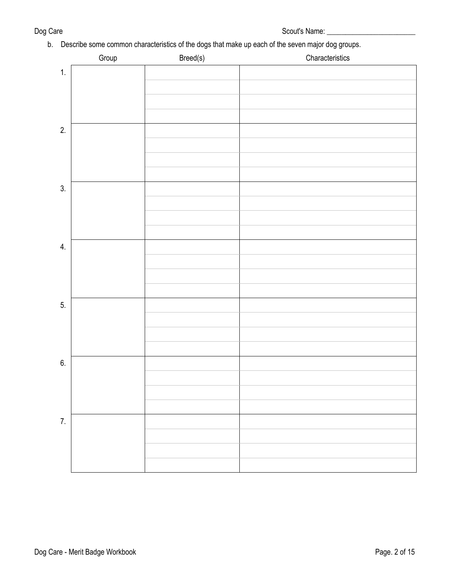b. Describe some common characteristics of the dogs that make up each of the seven major dog groups.

|    | Group | Breed(s) | Characteristics |
|----|-------|----------|-----------------|
| 1. |       |          |                 |
|    |       |          |                 |
|    |       |          |                 |
|    |       |          |                 |
| 2. |       |          |                 |
|    |       |          |                 |
|    |       |          |                 |
|    |       |          |                 |
| 3. |       |          |                 |
|    |       |          |                 |
|    |       |          |                 |
|    |       |          |                 |
| 4. |       |          |                 |
|    |       |          |                 |
|    |       |          |                 |
|    |       |          |                 |
| 5. |       |          |                 |
|    |       |          |                 |
|    |       |          |                 |
|    |       |          |                 |
| 6. |       |          |                 |
|    |       |          |                 |
|    |       |          |                 |
|    |       |          |                 |
| 7. |       |          |                 |
|    |       |          |                 |
|    |       |          |                 |
|    |       |          |                 |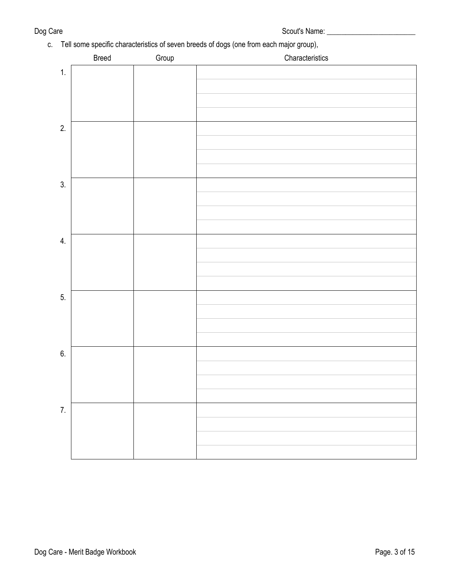# c. Tell some specific characteristics of seven breeds of dogs (one from each major group),

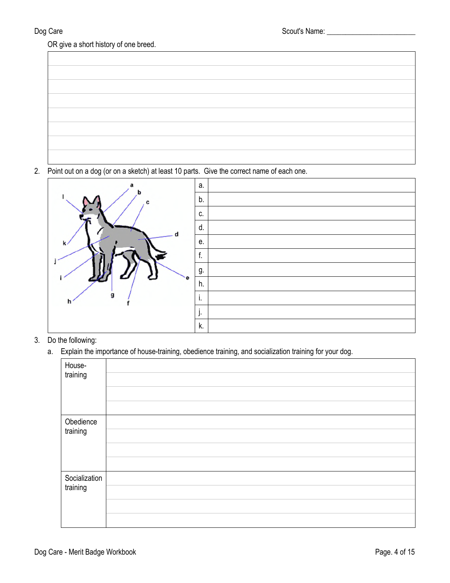OR give a short history of one breed.

2. Point out on a dog (or on a sketch) at least 10 parts. Give the correct name of each one.



- 3. Do the following:
	- a. Explain the importance of house-training, obedience training, and socialization training for your dog.

| House-<br>training        |  |
|---------------------------|--|
| Obedience<br>training     |  |
| Socialization<br>training |  |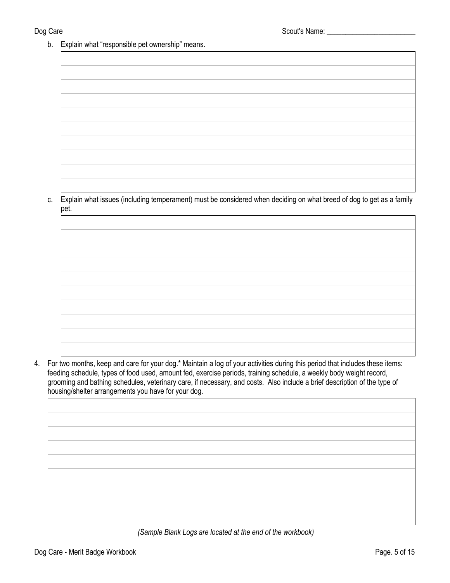b. Explain what "responsible pet ownership" means.

| Explain what issues (including temperament) must be considered when deciding on what breed of dog to get as a family |
|----------------------------------------------------------------------------------------------------------------------|

c. Explain what issues (including temperament) must be considered when deciding on what breed of dog to get as a family pet.

4. For two months, keep and care for your dog.\* Maintain a log of your activities during this period that includes these items: feeding schedule, types of food used, amount fed, exercise periods, training schedule, a weekly body weight record, grooming and bathing schedules, veterinary care, if necessary, and costs. Also include a brief description of the type of housing/shelter arrangements you have for your dog.

 *(Sample Blank Logs are located at the end of the workbook)*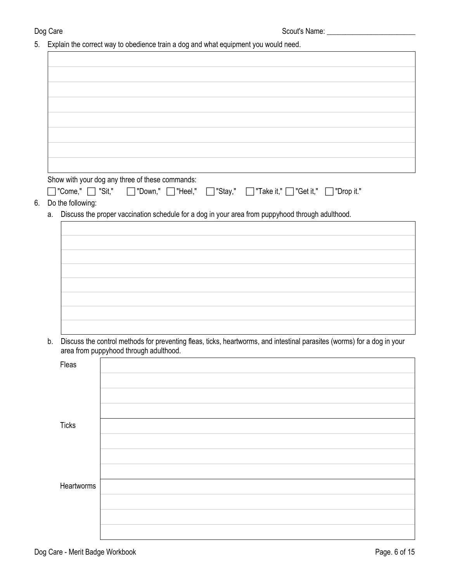5. Explain the correct way to obedience train a dog and what equipment you would need.

| Show with your dog any three of these commands:        |                                                                                                                         |
|--------------------------------------------------------|-------------------------------------------------------------------------------------------------------------------------|
| $\exists$ "Come," $\Box$ "Sit,"<br>□ "Down," □ "Heel," | □"Stay," □ "Take it," □ "Get it," □ "Drop it."                                                                          |
| Do the following:                                      |                                                                                                                         |
| a.                                                     | Discuss the proper vaccination schedule for a dog in your area from puppyhood through adulthood.                        |
|                                                        |                                                                                                                         |
|                                                        |                                                                                                                         |
|                                                        |                                                                                                                         |
|                                                        |                                                                                                                         |
|                                                        |                                                                                                                         |
|                                                        |                                                                                                                         |
|                                                        |                                                                                                                         |
|                                                        |                                                                                                                         |
| b.<br>area from puppyhood through adulthood.           | Discuss the control methods for preventing fleas, ticks, heartworms, and intestinal parasites (worms) for a dog in your |
| Fleas                                                  |                                                                                                                         |
|                                                        |                                                                                                                         |
|                                                        |                                                                                                                         |
|                                                        |                                                                                                                         |
|                                                        |                                                                                                                         |
| <b>Ticks</b>                                           |                                                                                                                         |
|                                                        |                                                                                                                         |
|                                                        |                                                                                                                         |
|                                                        |                                                                                                                         |
| Heartworms                                             |                                                                                                                         |
|                                                        |                                                                                                                         |
|                                                        |                                                                                                                         |
|                                                        |                                                                                                                         |
|                                                        |                                                                                                                         |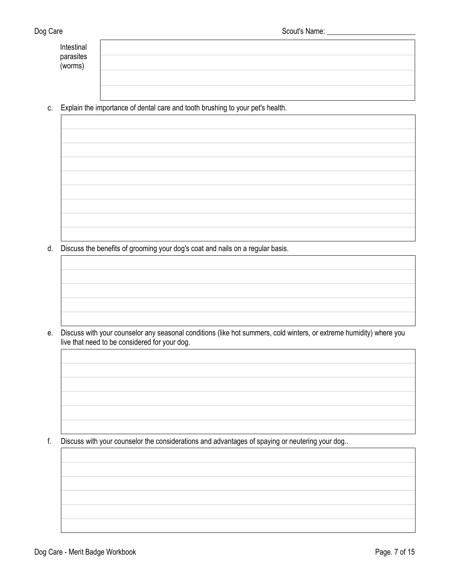| Intestinal<br>parasites<br>(worms) |  |
|------------------------------------|--|
|                                    |  |
|                                    |  |
|                                    |  |

c. Explain the importance of dental care and tooth brushing to your pet's health.

- 
- d. Discuss the benefits of grooming your dog's coat and nails on a regular basis.

e. Discuss with your counselor any seasonal conditions (like hot summers, cold winters, or extreme humidity) where you live that need to be considered for your dog.

f. Discuss with your counselor the considerations and advantages of spaying or neutering your dog..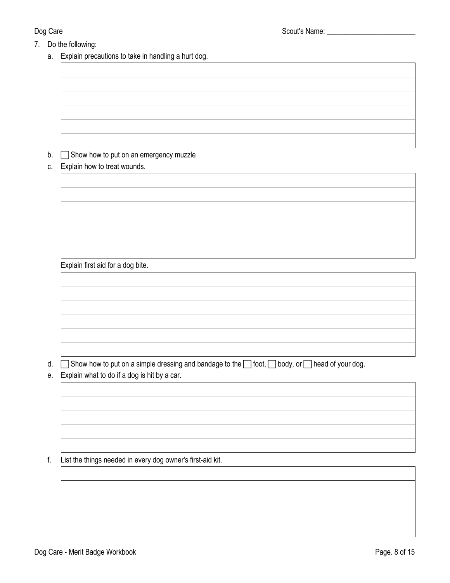- 7. Do the following:
	- a. Explain precautions to take in handling a hurt dog.

## b. **Show how to put on an emergency muzzle**

c. Explain how to treat wounds.

Explain first aid for a dog bite.

d.  $\Box$  Show how to put on a simple dressing and bandage to the  $\Box$  foot,  $\Box$  body, or  $\Box$  head of your dog.

e. Explain what to do if a dog is hit by a car.

## f. List the things needed in every dog owner's first-aid kit.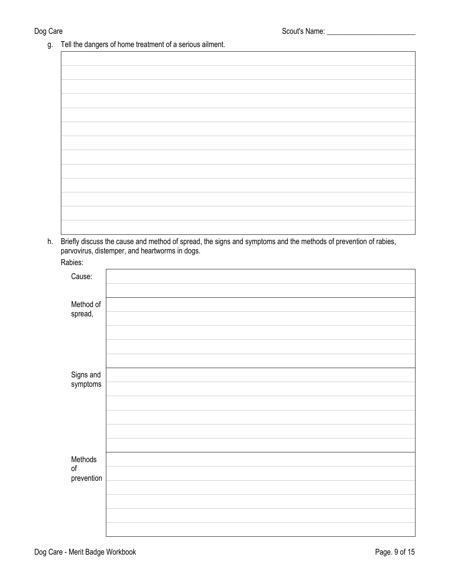g. Tell the dangers of home treatment of a serious ailment.

h. Briefly discuss the cause and method of spread, the signs and symptoms and the methods of prevention of rabies, parvovirus, distemper, and heartworms in dogs.

| Rabies:               |  |
|-----------------------|--|
| Cause:                |  |
|                       |  |
| Method of<br>spread,  |  |
|                       |  |
|                       |  |
|                       |  |
| Signs and<br>symptoms |  |
|                       |  |
|                       |  |
|                       |  |
|                       |  |
|                       |  |
| Methods<br>$\circ f$  |  |
| prevention            |  |
|                       |  |
|                       |  |
|                       |  |
|                       |  |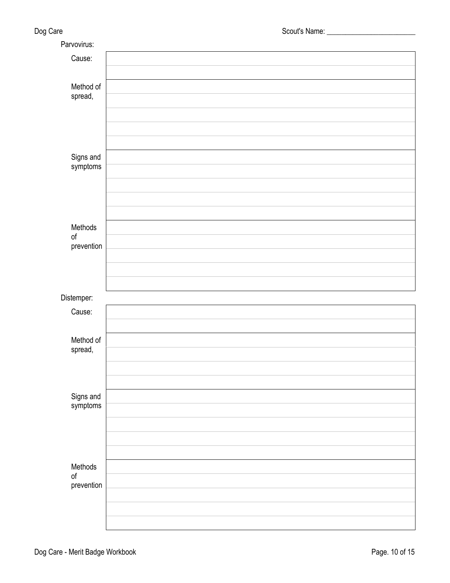| Parvovirus:                        |  |
|------------------------------------|--|
| Cause:                             |  |
| Method of<br>spread,               |  |
|                                    |  |
| Signs and<br>symptoms              |  |
|                                    |  |
| Methods<br>$\circ f$<br>prevention |  |
|                                    |  |
| Distemper:                         |  |
| Cause:                             |  |
| Method of<br>spread,               |  |
|                                    |  |
| Signs and<br>symptoms              |  |
|                                    |  |
| Methods<br>$\circ$ f<br>prevention |  |
|                                    |  |
|                                    |  |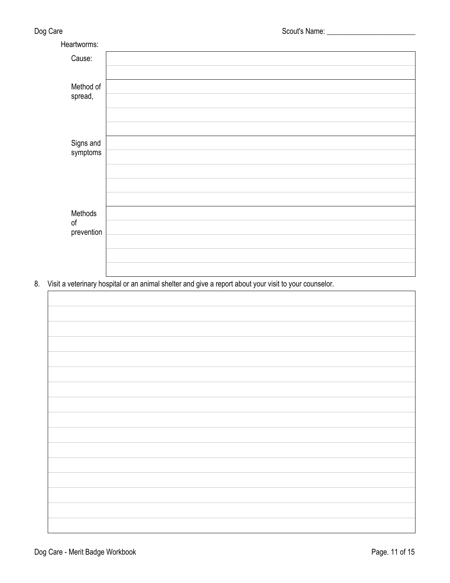| Heartworms:               |  |
|---------------------------|--|
| Cause:                    |  |
| Method of<br>spread,      |  |
|                           |  |
|                           |  |
| Signs and<br>symptoms     |  |
|                           |  |
|                           |  |
|                           |  |
| Methods<br>o <sub>f</sub> |  |
| prevention                |  |
|                           |  |
|                           |  |
|                           |  |

8. Visit a veterinary hospital or an animal shelter and give a report about your visit to your counselor.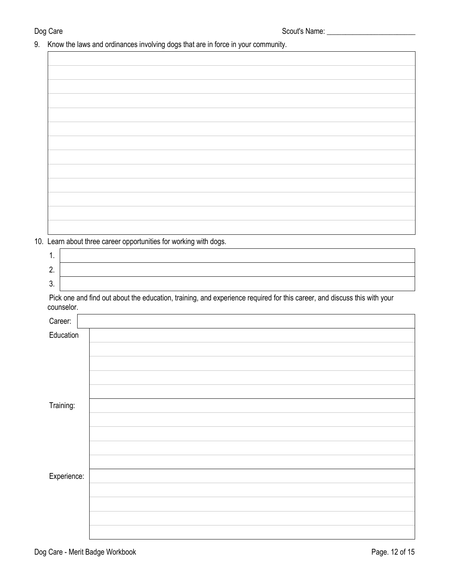9. Know the laws and ordinances involving dogs that are in force in your community.

10. Learn about three career opportunities for working with dogs.

| . . |  |
|-----|--|
|     |  |
| v.  |  |

Pick one and find out about the education, training, and experience required for this career, and discuss this with your counselor.

| Career:     |  |
|-------------|--|
| Education   |  |
|             |  |
|             |  |
|             |  |
|             |  |
|             |  |
| Training:   |  |
|             |  |
|             |  |
|             |  |
|             |  |
| Experience: |  |
|             |  |
|             |  |
|             |  |
|             |  |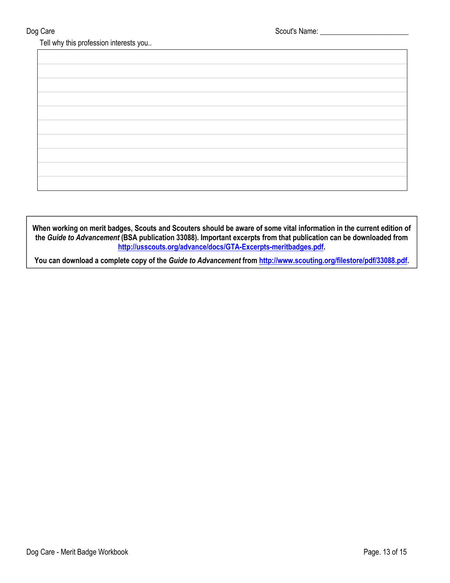Tell why this profession interests you..

**When working on merit badges, Scouts and Scouters should be aware of some vital information in the current edition of the** *Guide to Advancement* **(BSA publication 33088). Important excerpts from that publication can be downloaded from <http://usscouts.org/advance/docs/GTA-Excerpts-meritbadges.pdf>.** 

**You can download a complete copy of the** *Guide to Advancement* **from <http://www.scouting.org/filestore/pdf/33088.pdf>.**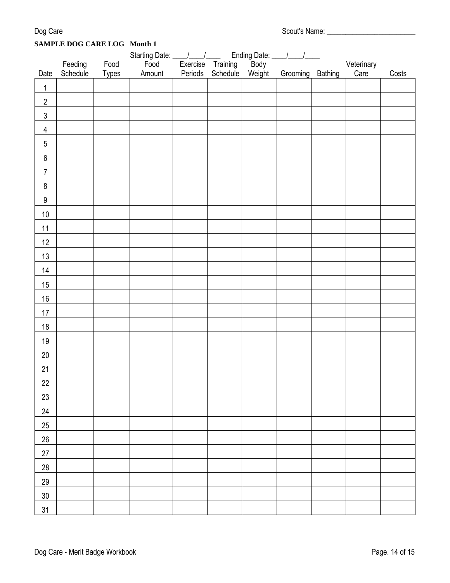| Dog Care | Scout's Name: |
|----------|---------------|
|          |               |

# **SAMPLE DOG CARE LOG Month 1**

|                  | Starting Date: \[ \] |              |        |  | Ending Date: <u>_____/ ____/</u><br>ing Body |        |          |         |            |       |
|------------------|----------------------|--------------|--------|--|----------------------------------------------|--------|----------|---------|------------|-------|
|                  | Feeding<br>Schedule  | Food         | Food   |  | Exercise Training<br>Periods Schedule        |        |          |         | Veterinary |       |
| Date             |                      | <b>Types</b> | Amount |  |                                              | Weight | Grooming | Bathing | Care       | Costs |
| $\mathbf 1$      |                      |              |        |  |                                              |        |          |         |            |       |
| $\overline{c}$   |                      |              |        |  |                                              |        |          |         |            |       |
| $\sqrt{3}$       |                      |              |        |  |                                              |        |          |         |            |       |
| $\overline{4}$   |                      |              |        |  |                                              |        |          |         |            |       |
| $\overline{5}$   |                      |              |        |  |                                              |        |          |         |            |       |
| 6                |                      |              |        |  |                                              |        |          |         |            |       |
| $\overline{7}$   |                      |              |        |  |                                              |        |          |         |            |       |
| $\bf 8$          |                      |              |        |  |                                              |        |          |         |            |       |
| $\boldsymbol{9}$ |                      |              |        |  |                                              |        |          |         |            |       |
| 10               |                      |              |        |  |                                              |        |          |         |            |       |
| 11               |                      |              |        |  |                                              |        |          |         |            |       |
| 12               |                      |              |        |  |                                              |        |          |         |            |       |
| 13               |                      |              |        |  |                                              |        |          |         |            |       |
| 14               |                      |              |        |  |                                              |        |          |         |            |       |
| 15               |                      |              |        |  |                                              |        |          |         |            |       |
| 16               |                      |              |        |  |                                              |        |          |         |            |       |
| 17               |                      |              |        |  |                                              |        |          |         |            |       |
| 18               |                      |              |        |  |                                              |        |          |         |            |       |
| 19               |                      |              |        |  |                                              |        |          |         |            |       |
| $20\,$           |                      |              |        |  |                                              |        |          |         |            |       |
| 21               |                      |              |        |  |                                              |        |          |         |            |       |
| 22               |                      |              |        |  |                                              |        |          |         |            |       |
| 23               |                      |              |        |  |                                              |        |          |         |            |       |
| 24               |                      |              |        |  |                                              |        |          |         |            |       |
| 25               |                      |              |        |  |                                              |        |          |         |            |       |
| 26               |                      |              |        |  |                                              |        |          |         |            |       |
| 27               |                      |              |        |  |                                              |        |          |         |            |       |
| 28               |                      |              |        |  |                                              |        |          |         |            |       |
| 29               |                      |              |        |  |                                              |        |          |         |            |       |
| $30\,$           |                      |              |        |  |                                              |        |          |         |            |       |
| 31               |                      |              |        |  |                                              |        |          |         |            |       |